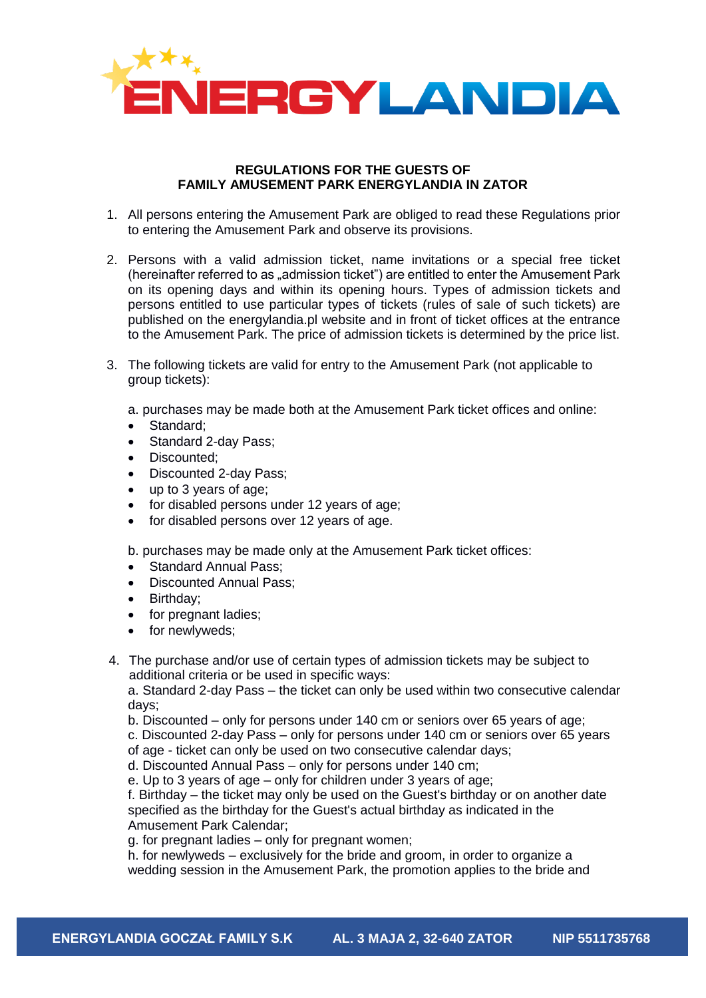

## **REGULATIONS FOR THE GUESTS OF FAMILY AMUSEMENT PARK ENERGYLANDIA IN ZATOR**

- 1. All persons entering the Amusement Park are obliged to read these Regulations prior to entering the Amusement Park and observe its provisions.
- 2. Persons with a valid admission ticket, name invitations or a special free ticket (hereinafter referred to as "admission ticket") are entitled to enter the Amusement Park on its opening days and within its opening hours. Types of admission tickets and persons entitled to use particular types of tickets (rules of sale of such tickets) are published on the energylandia.pl website and in front of ticket offices at the entrance to the Amusement Park. The price of admission tickets is determined by the price list.
- 3. The following tickets are valid for entry to the Amusement Park (not applicable to group tickets):
	- a. purchases may be made both at the Amusement Park ticket offices and online:
	- Standard;
	- Standard 2-day Pass;
	- Discounted;
	- Discounted 2-day Pass;
	- up to 3 years of age;
	- for disabled persons under 12 years of age;
	- for disabled persons over 12 years of age.

b. purchases may be made only at the Amusement Park ticket offices:

- Standard Annual Pass:
- Discounted Annual Pass;
- Birthday;
- for pregnant ladies;
- for newlyweds:
- 4. The purchase and/or use of certain types of admission tickets may be subject to additional criteria or be used in specific ways:

a. Standard 2-day Pass – the ticket can only be used within two consecutive calendar days;

b. Discounted – only for persons under 140 cm or seniors over 65 years of age;

c. Discounted 2-day Pass – only for persons under 140 cm or seniors over 65 years

of age - ticket can only be used on two consecutive calendar days;

d. Discounted Annual Pass – only for persons under 140 cm;

e. Up to 3 years of age – only for children under 3 years of age;

f. Birthday – the ticket may only be used on the Guest's birthday or on another date specified as the birthday for the Guest's actual birthday as indicated in the Amusement Park Calendar;

g. for pregnant ladies – only for pregnant women;

h. for newlyweds – exclusively for the bride and groom, in order to organize a wedding session in the Amusement Park, the promotion applies to the bride and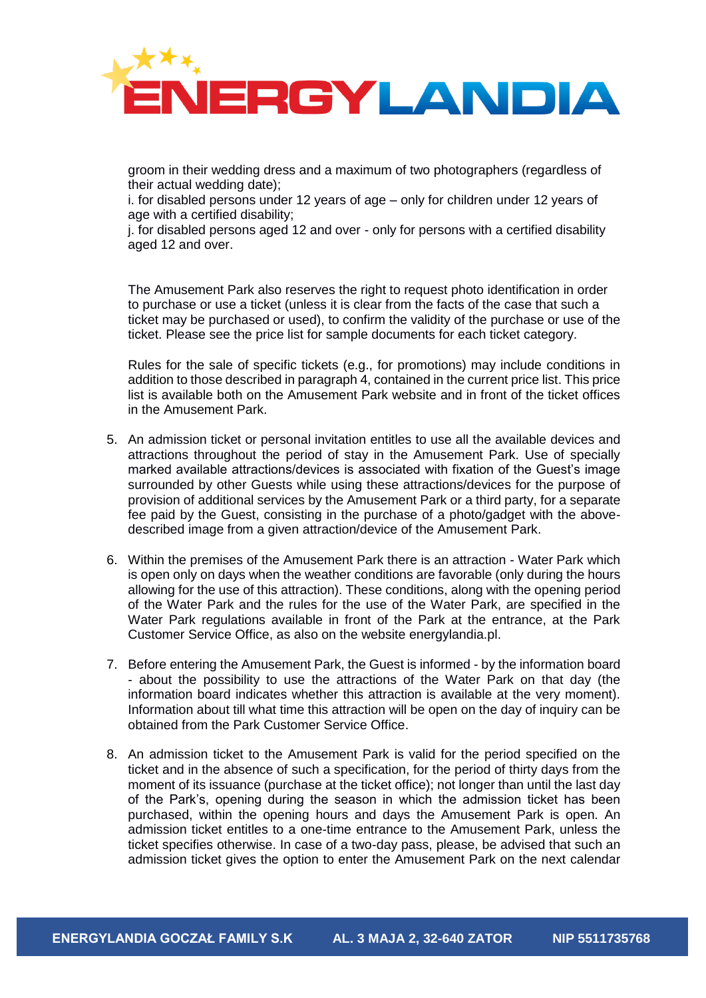

groom in their wedding dress and a maximum of two photographers (regardless of their actual wedding date);

i. for disabled persons under 12 years of age – only for children under 12 years of age with a certified disability;

j. for disabled persons aged 12 and over - only for persons with a certified disability aged 12 and over.

The Amusement Park also reserves the right to request photo identification in order to purchase or use a ticket (unless it is clear from the facts of the case that such a ticket may be purchased or used), to confirm the validity of the purchase or use of the ticket. Please see the price list for sample documents for each ticket category.

Rules for the sale of specific tickets (e.g., for promotions) may include conditions in addition to those described in paragraph 4, contained in the current price list. This price list is available both on the Amusement Park website and in front of the ticket offices in the Amusement Park.

- 5. An admission ticket or personal invitation entitles to use all the available devices and attractions throughout the period of stay in the Amusement Park. Use of specially marked available attractions/devices is associated with fixation of the Guest's image surrounded by other Guests while using these attractions/devices for the purpose of provision of additional services by the Amusement Park or a third party, for a separate fee paid by the Guest, consisting in the purchase of a photo/gadget with the abovedescribed image from a given attraction/device of the Amusement Park.
- 6. Within the premises of the Amusement Park there is an attraction Water Park which is open only on days when the weather conditions are favorable (only during the hours allowing for the use of this attraction). These conditions, along with the opening period of the Water Park and the rules for the use of the Water Park, are specified in the Water Park regulations available in front of the Park at the entrance, at the Park Customer Service Office, as also on the website energylandia.pl.
- 7. Before entering the Amusement Park, the Guest is informed by the information board - about the possibility to use the attractions of the Water Park on that day (the information board indicates whether this attraction is available at the very moment). Information about till what time this attraction will be open on the day of inquiry can be obtained from the Park Customer Service Office.
- 8. An admission ticket to the Amusement Park is valid for the period specified on the ticket and in the absence of such a specification, for the period of thirty days from the moment of its issuance (purchase at the ticket office); not longer than until the last day of the Park's, opening during the season in which the admission ticket has been purchased, within the opening hours and days the Amusement Park is open. An admission ticket entitles to a one-time entrance to the Amusement Park, unless the ticket specifies otherwise. In case of a two-day pass, please, be advised that such an admission ticket gives the option to enter the Amusement Park on the next calendar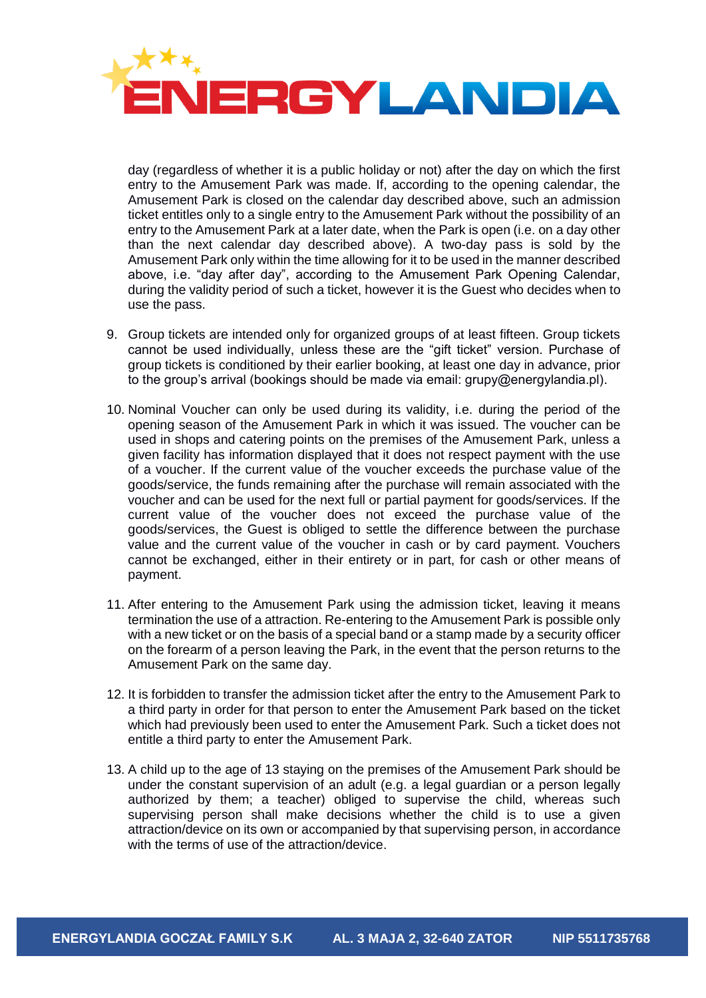

day (regardless of whether it is a public holiday or not) after the day on which the first entry to the Amusement Park was made. If, according to the opening calendar, the Amusement Park is closed on the calendar day described above, such an admission ticket entitles only to a single entry to the Amusement Park without the possibility of an entry to the Amusement Park at a later date, when the Park is open (i.e. on a day other than the next calendar day described above). A two-day pass is sold by the Amusement Park only within the time allowing for it to be used in the manner described above, i.e. "day after day", according to the Amusement Park Opening Calendar, during the validity period of such a ticket, however it is the Guest who decides when to use the pass.

- 9. Group tickets are intended only for organized groups of at least fifteen. Group tickets cannot be used individually, unless these are the "gift ticket" version. Purchase of group tickets is conditioned by their earlier booking, at least one day in advance, prior to the group's arrival (bookings should be made via email: grupy@energylandia.pl).
- 10. Nominal Voucher can only be used during its validity, i.e. during the period of the opening season of the Amusement Park in which it was issued. The voucher can be used in shops and catering points on the premises of the Amusement Park, unless a given facility has information displayed that it does not respect payment with the use of a voucher. If the current value of the voucher exceeds the purchase value of the goods/service, the funds remaining after the purchase will remain associated with the voucher and can be used for the next full or partial payment for goods/services. If the current value of the voucher does not exceed the purchase value of the goods/services, the Guest is obliged to settle the difference between the purchase value and the current value of the voucher in cash or by card payment. Vouchers cannot be exchanged, either in their entirety or in part, for cash or other means of payment.
- 11. After entering to the Amusement Park using the admission ticket, leaving it means termination the use of a attraction. Re-entering to the Amusement Park is possible only with a new ticket or on the basis of a special band or a stamp made by a security officer on the forearm of a person leaving the Park, in the event that the person returns to the Amusement Park on the same day.
- 12. It is forbidden to transfer the admission ticket after the entry to the Amusement Park to a third party in order for that person to enter the Amusement Park based on the ticket which had previously been used to enter the Amusement Park. Such a ticket does not entitle a third party to enter the Amusement Park.
- 13. A child up to the age of 13 staying on the premises of the Amusement Park should be under the constant supervision of an adult (e.g. a legal guardian or a person legally authorized by them; a teacher) obliged to supervise the child, whereas such supervising person shall make decisions whether the child is to use a given attraction/device on its own or accompanied by that supervising person, in accordance with the terms of use of the attraction/device.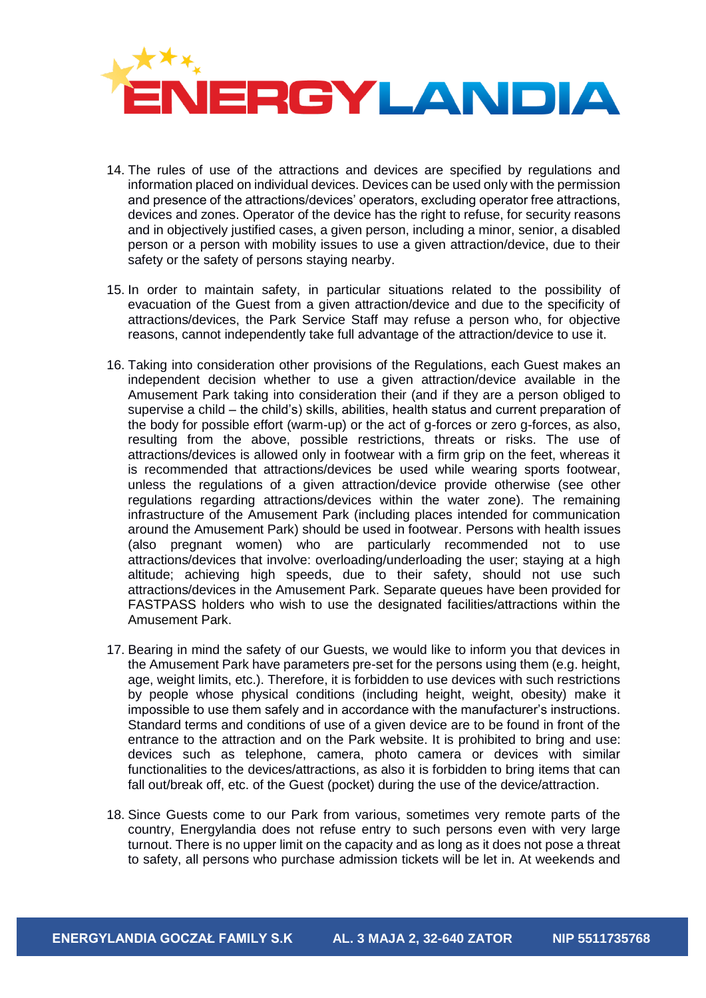

- 14. The rules of use of the attractions and devices are specified by regulations and information placed on individual devices. Devices can be used only with the permission and presence of the attractions/devices' operators, excluding operator free attractions, devices and zones. Operator of the device has the right to refuse, for security reasons and in objectively justified cases, a given person, including a minor, senior, a disabled person or a person with mobility issues to use a given attraction/device, due to their safety or the safety of persons staying nearby.
- 15. In order to maintain safety, in particular situations related to the possibility of evacuation of the Guest from a given attraction/device and due to the specificity of attractions/devices, the Park Service Staff may refuse a person who, for objective reasons, cannot independently take full advantage of the attraction/device to use it.
- 16. Taking into consideration other provisions of the Regulations, each Guest makes an independent decision whether to use a given attraction/device available in the Amusement Park taking into consideration their (and if they are a person obliged to supervise a child – the child's) skills, abilities, health status and current preparation of the body for possible effort (warm-up) or the act of g-forces or zero g-forces, as also, resulting from the above, possible restrictions, threats or risks. The use of attractions/devices is allowed only in footwear with a firm grip on the feet, whereas it is recommended that attractions/devices be used while wearing sports footwear, unless the regulations of a given attraction/device provide otherwise (see other regulations regarding attractions/devices within the water zone). The remaining infrastructure of the Amusement Park (including places intended for communication around the Amusement Park) should be used in footwear. Persons with health issues (also pregnant women) who are particularly recommended not to use attractions/devices that involve: overloading/underloading the user; staying at a high altitude; achieving high speeds, due to their safety, should not use such attractions/devices in the Amusement Park. Separate queues have been provided for FASTPASS holders who wish to use the designated facilities/attractions within the Amusement Park.
- 17. Bearing in mind the safety of our Guests, we would like to inform you that devices in the Amusement Park have parameters pre-set for the persons using them (e.g. height, age, weight limits, etc.). Therefore, it is forbidden to use devices with such restrictions by people whose physical conditions (including height, weight, obesity) make it impossible to use them safely and in accordance with the manufacturer's instructions. Standard terms and conditions of use of a given device are to be found in front of the entrance to the attraction and on the Park website. It is prohibited to bring and use: devices such as telephone, camera, photo camera or devices with similar functionalities to the devices/attractions, as also it is forbidden to bring items that can fall out/break off, etc. of the Guest (pocket) during the use of the device/attraction.
- 18. Since Guests come to our Park from various, sometimes very remote parts of the country, Energylandia does not refuse entry to such persons even with very large turnout. There is no upper limit on the capacity and as long as it does not pose a threat to safety, all persons who purchase admission tickets will be let in. At weekends and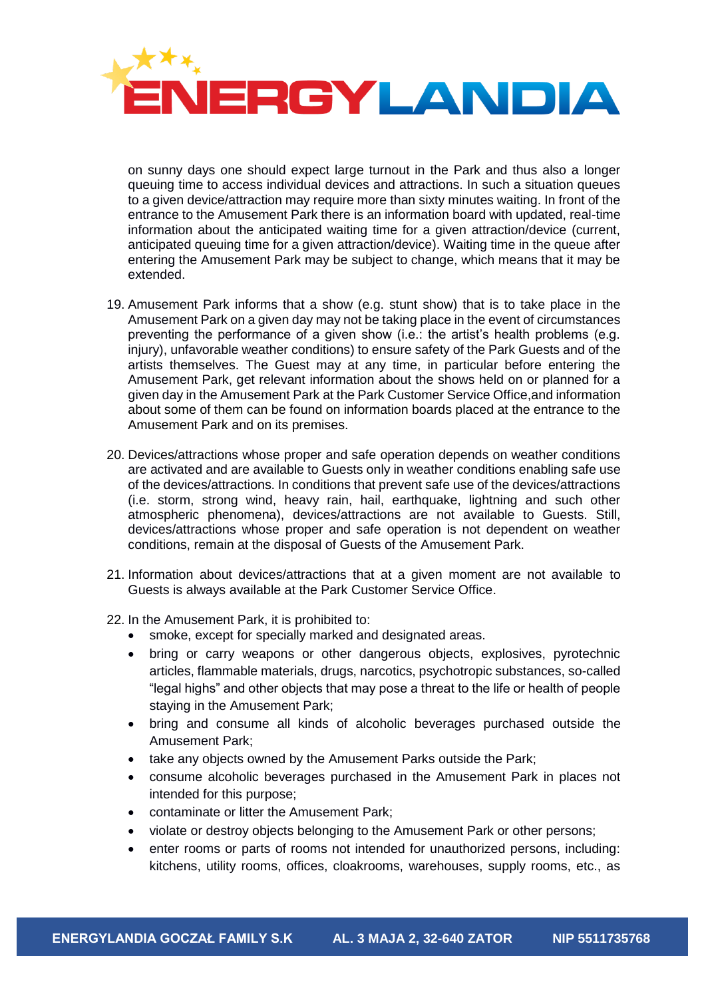

on sunny days one should expect large turnout in the Park and thus also a longer queuing time to access individual devices and attractions. In such a situation queues to a given device/attraction may require more than sixty minutes waiting. In front of the entrance to the Amusement Park there is an information board with updated, real-time information about the anticipated waiting time for a given attraction/device (current, anticipated queuing time for a given attraction/device). Waiting time in the queue after entering the Amusement Park may be subject to change, which means that it may be extended.

- 19. Amusement Park informs that a show (e.g. stunt show) that is to take place in the Amusement Park on a given day may not be taking place in the event of circumstances preventing the performance of a given show (i.e.: the artist's health problems (e.g. injury), unfavorable weather conditions) to ensure safety of the Park Guests and of the artists themselves. The Guest may at any time, in particular before entering the Amusement Park, get relevant information about the shows held on or planned for a given day in the Amusement Park at the Park Customer Service Office,and information about some of them can be found on information boards placed at the entrance to the Amusement Park and on its premises.
- 20. Devices/attractions whose proper and safe operation depends on weather conditions are activated and are available to Guests only in weather conditions enabling safe use of the devices/attractions. In conditions that prevent safe use of the devices/attractions (i.e. storm, strong wind, heavy rain, hail, earthquake, lightning and such other atmospheric phenomena), devices/attractions are not available to Guests. Still, devices/attractions whose proper and safe operation is not dependent on weather conditions, remain at the disposal of Guests of the Amusement Park.
- 21. Information about devices/attractions that at a given moment are not available to Guests is always available at the Park Customer Service Office.
- 22. In the Amusement Park, it is prohibited to:
	- smoke, except for specially marked and designated areas.
	- bring or carry weapons or other dangerous objects, explosives, pyrotechnic articles, flammable materials, drugs, narcotics, psychotropic substances, so-called "legal highs" and other objects that may pose a threat to the life or health of people staying in the Amusement Park;
	- bring and consume all kinds of alcoholic beverages purchased outside the Amusement Park;
	- take any objects owned by the Amusement Parks outside the Park;
	- consume alcoholic beverages purchased in the Amusement Park in places not intended for this purpose;
	- contaminate or litter the Amusement Park;
	- violate or destroy objects belonging to the Amusement Park or other persons;
	- enter rooms or parts of rooms not intended for unauthorized persons, including: kitchens, utility rooms, offices, cloakrooms, warehouses, supply rooms, etc., as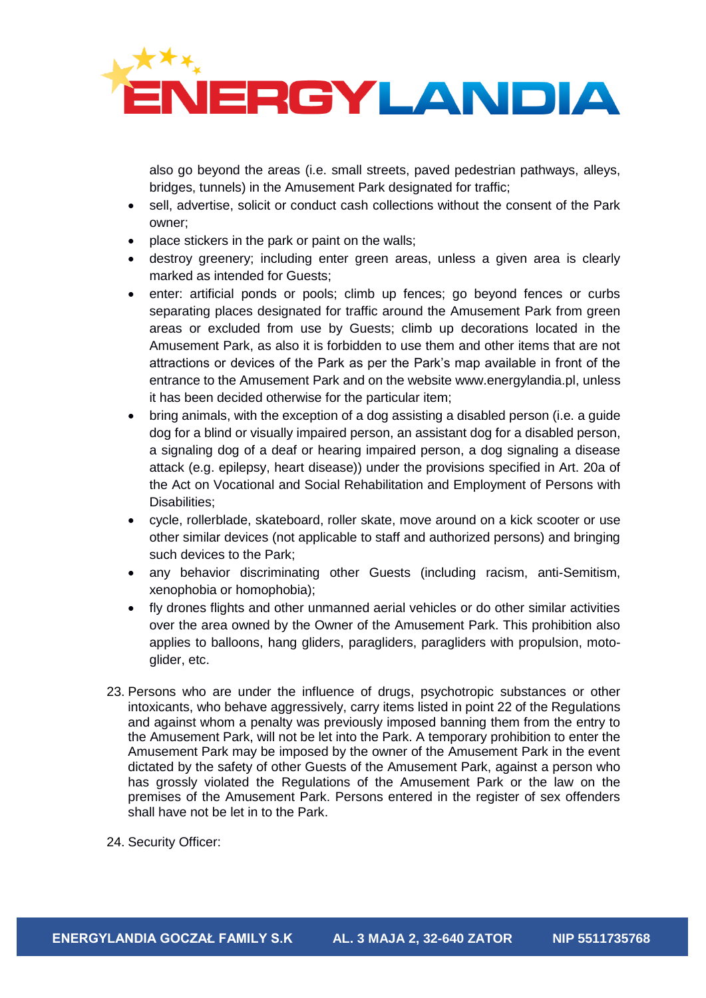

also go beyond the areas (i.e. small streets, paved pedestrian pathways, alleys, bridges, tunnels) in the Amusement Park designated for traffic;

- sell, advertise, solicit or conduct cash collections without the consent of the Park owner;
- place stickers in the park or paint on the walls;
- destroy greenery; including enter green areas, unless a given area is clearly marked as intended for Guests;
- enter: artificial ponds or pools; climb up fences; go beyond fences or curbs separating places designated for traffic around the Amusement Park from green areas or excluded from use by Guests; climb up decorations located in the Amusement Park, as also it is forbidden to use them and other items that are not attractions or devices of the Park as per the Park's map available in front of the entrance to the Amusement Park and on the website www.energylandia.pl, unless it has been decided otherwise for the particular item;
- bring animals, with the exception of a dog assisting a disabled person (i.e. a guide dog for a blind or visually impaired person, an assistant dog for a disabled person, a signaling dog of a deaf or hearing impaired person, a dog signaling a disease attack (e.g. epilepsy, heart disease)) under the provisions specified in Art. 20a of the Act on Vocational and Social Rehabilitation and Employment of Persons with Disabilities;
- cycle, rollerblade, skateboard, roller skate, move around on a kick scooter or use other similar devices (not applicable to staff and authorized persons) and bringing such devices to the Park;
- any behavior discriminating other Guests (including racism, anti-Semitism, xenophobia or homophobia);
- fly drones flights and other unmanned aerial vehicles or do other similar activities over the area owned by the Owner of the Amusement Park. This prohibition also applies to balloons, hang gliders, paragliders, paragliders with propulsion, motoglider, etc.
- 23. Persons who are under the influence of drugs, psychotropic substances or other intoxicants, who behave aggressively, carry items listed in point 22 of the Regulations and against whom a penalty was previously imposed banning them from the entry to the Amusement Park, will not be let into the Park. A temporary prohibition to enter the Amusement Park may be imposed by the owner of the Amusement Park in the event dictated by the safety of other Guests of the Amusement Park, against a person who has grossly violated the Regulations of the Amusement Park or the law on the premises of the Amusement Park. Persons entered in the register of sex offenders shall have not be let in to the Park.

24. Security Officer: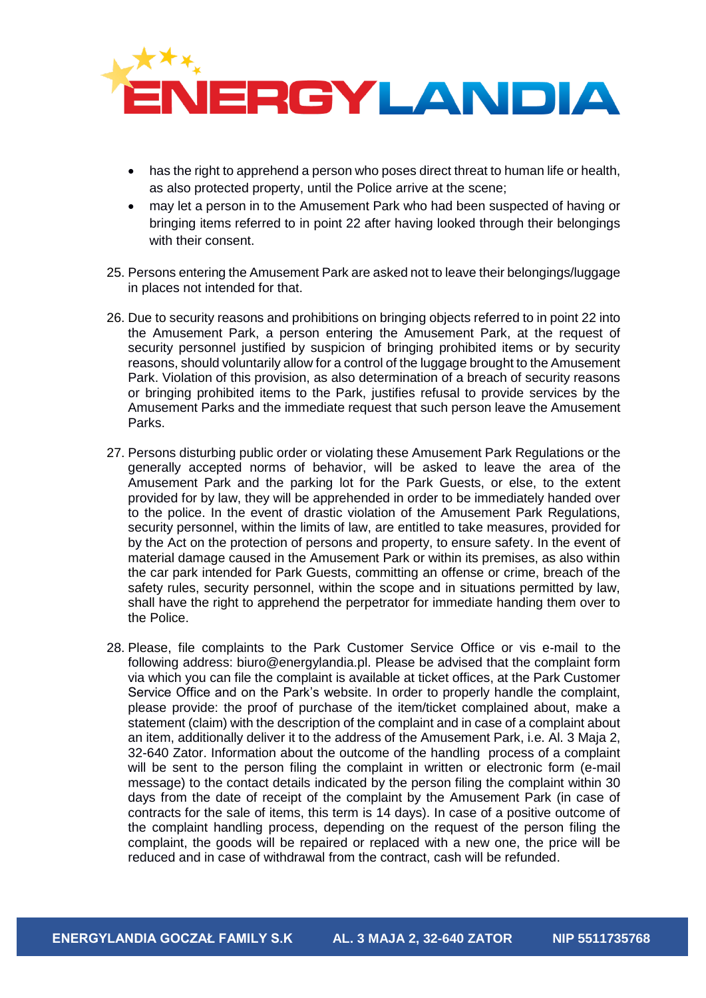

- has the right to apprehend a person who poses direct threat to human life or health, as also protected property, until the Police arrive at the scene;
- may let a person in to the Amusement Park who had been suspected of having or bringing items referred to in point 22 after having looked through their belongings with their consent.
- 25. Persons entering the Amusement Park are asked not to leave their belongings/luggage in places not intended for that.
- 26. Due to security reasons and prohibitions on bringing objects referred to in point 22 into the Amusement Park, a person entering the Amusement Park, at the request of security personnel justified by suspicion of bringing prohibited items or by security reasons, should voluntarily allow for a control of the luggage brought to the Amusement Park. Violation of this provision, as also determination of a breach of security reasons or bringing prohibited items to the Park, justifies refusal to provide services by the Amusement Parks and the immediate request that such person leave the Amusement Parks.
- 27. Persons disturbing public order or violating these Amusement Park Regulations or the generally accepted norms of behavior, will be asked to leave the area of the Amusement Park and the parking lot for the Park Guests, or else, to the extent provided for by law, they will be apprehended in order to be immediately handed over to the police. In the event of drastic violation of the Amusement Park Regulations, security personnel, within the limits of law, are entitled to take measures, provided for by the Act on the protection of persons and property, to ensure safety. In the event of material damage caused in the Amusement Park or within its premises, as also within the car park intended for Park Guests, committing an offense or crime, breach of the safety rules, security personnel, within the scope and in situations permitted by law, shall have the right to apprehend the perpetrator for immediate handing them over to the Police.
- 28. Please, file complaints to the Park Customer Service Office or vis e-mail to the following address: biuro@energylandia.pl. Please be advised that the complaint form via which you can file the complaint is available at ticket offices, at the Park Customer Service Office and on the Park's website. In order to properly handle the complaint, please provide: the proof of purchase of the item/ticket complained about, make a statement (claim) with the description of the complaint and in case of a complaint about an item, additionally deliver it to the address of the Amusement Park, i.e. Al. 3 Maja 2, 32-640 Zator. Information about the outcome of the handling process of a complaint will be sent to the person filing the complaint in written or electronic form (e-mail message) to the contact details indicated by the person filing the complaint within 30 days from the date of receipt of the complaint by the Amusement Park (in case of contracts for the sale of items, this term is 14 days). In case of a positive outcome of the complaint handling process, depending on the request of the person filing the complaint, the goods will be repaired or replaced with a new one, the price will be reduced and in case of withdrawal from the contract, cash will be refunded.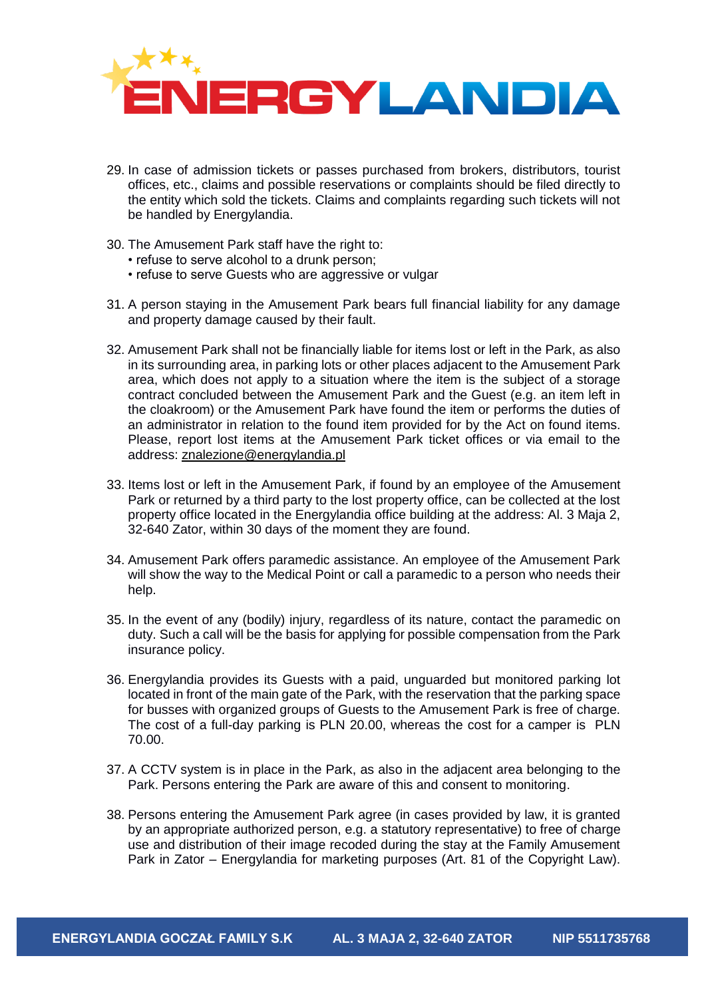

- 29. In case of admission tickets or passes purchased from brokers, distributors, tourist offices, etc., claims and possible reservations or complaints should be filed directly to the entity which sold the tickets. Claims and complaints regarding such tickets will not be handled by Energylandia.
- 30. The Amusement Park staff have the right to:
	- refuse to serve alcohol to a drunk person;
	- refuse to serve Guests who are aggressive or vulgar
- 31. A person staying in the Amusement Park bears full financial liability for any damage and property damage caused by their fault.
- 32. Amusement Park shall not be financially liable for items lost or left in the Park, as also in its surrounding area, in parking lots or other places adjacent to the Amusement Park area, which does not apply to a situation where the item is the subject of a storage contract concluded between the Amusement Park and the Guest (e.g. an item left in the cloakroom) or the Amusement Park have found the item or performs the duties of an administrator in relation to the found item provided for by the Act on found items. Please, report lost items at the Amusement Park ticket offices or via email to the address: [znalezione@energylandia.pl](mailto:znalezione@energylandia.pl)
- 33. Items lost or left in the Amusement Park, if found by an employee of the Amusement Park or returned by a third party to the lost property office, can be collected at the lost property office located in the Energylandia office building at the address: Al. 3 Maja 2, 32-640 Zator, within 30 days of the moment they are found.
- 34. Amusement Park offers paramedic assistance. An employee of the Amusement Park will show the way to the Medical Point or call a paramedic to a person who needs their help.
- 35. In the event of any (bodily) injury, regardless of its nature, contact the paramedic on duty. Such a call will be the basis for applying for possible compensation from the Park insurance policy.
- 36. Energylandia provides its Guests with a paid, unguarded but monitored parking lot located in front of the main gate of the Park, with the reservation that the parking space for busses with organized groups of Guests to the Amusement Park is free of charge. The cost of a full-day parking is PLN 20.00, whereas the cost for a camper is PLN 70.00.
- 37. A CCTV system is in place in the Park, as also in the adjacent area belonging to the Park. Persons entering the Park are aware of this and consent to monitoring.
- 38. Persons entering the Amusement Park agree (in cases provided by law, it is granted by an appropriate authorized person, e.g. a statutory representative) to free of charge use and distribution of their image recoded during the stay at the Family Amusement Park in Zator – Energylandia for marketing purposes (Art. 81 of the Copyright Law).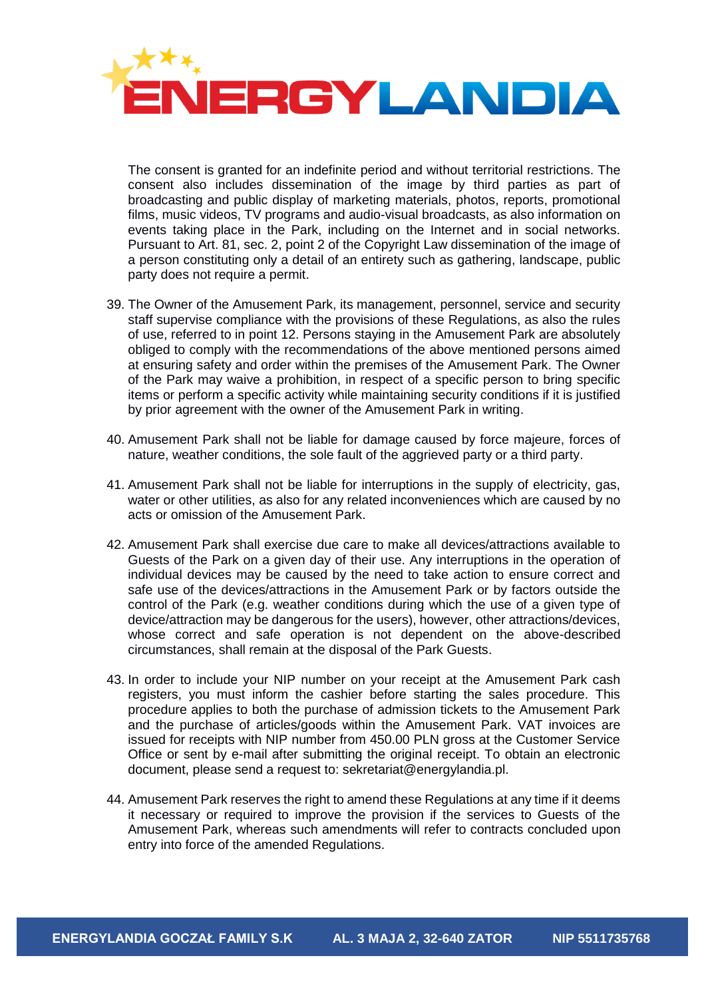

The consent is granted for an indefinite period and without territorial restrictions. The consent also includes dissemination of the image by third parties as part of broadcasting and public display of marketing materials, photos, reports, promotional films, music videos, TV programs and audio-visual broadcasts, as also information on events taking place in the Park, including on the Internet and in social networks. Pursuant to Art. 81, sec. 2, point 2 of the Copyright Law dissemination of the image of a person constituting only a detail of an entirety such as gathering, landscape, public party does not require a permit.

- 39. The Owner of the Amusement Park, its management, personnel, service and security staff supervise compliance with the provisions of these Regulations, as also the rules of use, referred to in point 12. Persons staying in the Amusement Park are absolutely obliged to comply with the recommendations of the above mentioned persons aimed at ensuring safety and order within the premises of the Amusement Park. The Owner of the Park may waive a prohibition, in respect of a specific person to bring specific items or perform a specific activity while maintaining security conditions if it is justified by prior agreement with the owner of the Amusement Park in writing.
- 40. Amusement Park shall not be liable for damage caused by force majeure, forces of nature, weather conditions, the sole fault of the aggrieved party or a third party.
- 41. Amusement Park shall not be liable for interruptions in the supply of electricity, gas, water or other utilities, as also for any related inconveniences which are caused by no acts or omission of the Amusement Park.
- 42. Amusement Park shall exercise due care to make all devices/attractions available to Guests of the Park on a given day of their use. Any interruptions in the operation of individual devices may be caused by the need to take action to ensure correct and safe use of the devices/attractions in the Amusement Park or by factors outside the control of the Park (e.g. weather conditions during which the use of a given type of device/attraction may be dangerous for the users), however, other attractions/devices, whose correct and safe operation is not dependent on the above-described circumstances, shall remain at the disposal of the Park Guests.
- 43. In order to include your NIP number on your receipt at the Amusement Park cash registers, you must inform the cashier before starting the sales procedure. This procedure applies to both the purchase of admission tickets to the Amusement Park and the purchase of articles/goods within the Amusement Park. VAT invoices are issued for receipts with NIP number from 450.00 PLN gross at the Customer Service Office or sent by e-mail after submitting the original receipt. To obtain an electronic document, please send a request to: sekretariat@energylandia.pl.
- 44. Amusement Park reserves the right to amend these Regulations at any time if it deems it necessary or required to improve the provision if the services to Guests of the Amusement Park, whereas such amendments will refer to contracts concluded upon entry into force of the amended Regulations.